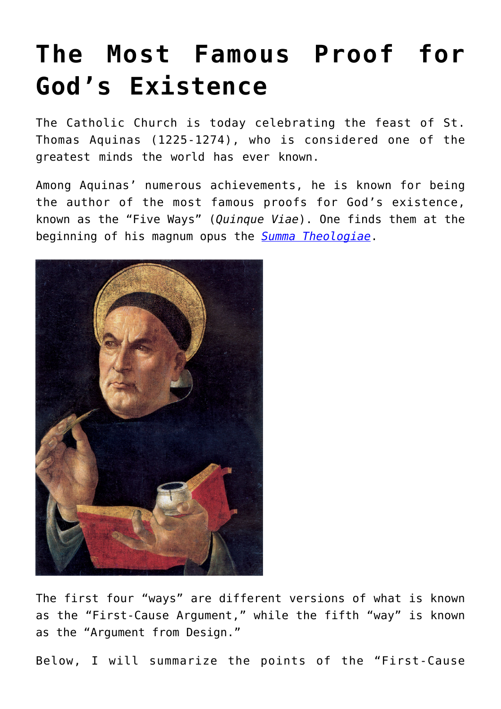## **[The Most Famous Proof for](https://intellectualtakeout.org/2016/01/the-most-famous-proof-for-gods-existence/) [God's Existence](https://intellectualtakeout.org/2016/01/the-most-famous-proof-for-gods-existence/)**

The Catholic Church is today celebrating the feast of St. Thomas Aquinas (1225-1274), who is considered one of the greatest minds the world has ever known.

Among Aquinas' numerous achievements, he is known for being the author of the most famous proofs for God's existence, known as the "Five Ways" (*Quinque Viae*). One finds them at the beginning of his magnum opus the *[Summa Theologiae](http://www.newadvent.org/summa/1002.htm)*.



The first four "ways" are different versions of what is known as the "First-Cause Argument," while the fifth "way" is known as the "Argument from Design."

Below, I will summarize the points of the "First-Cause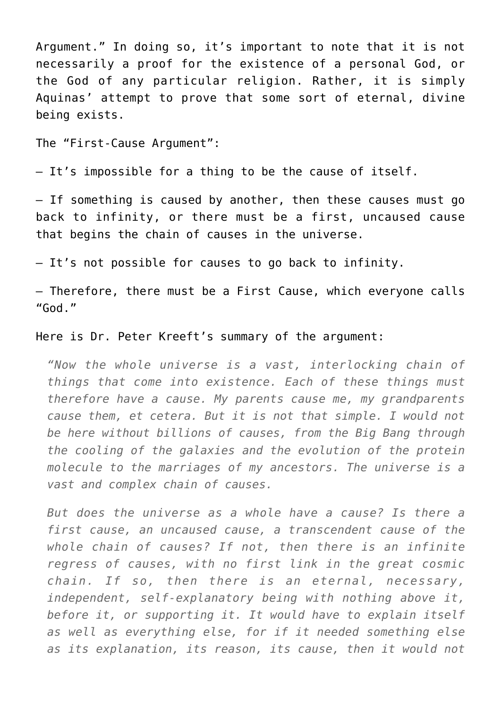Argument." In doing so, it's important to note that it is not necessarily a proof for the existence of a personal God, or the God of any particular religion. Rather, it is simply Aquinas' attempt to prove that some sort of eternal, divine being exists.

The "First-Cause Argument":

– It's impossible for a thing to be the cause of itself.

– If something is caused by another, then these causes must go back to infinity, or there must be a first, uncaused cause that begins the chain of causes in the universe.

– It's not possible for causes to go back to infinity.

– Therefore, there must be a First Cause, which everyone calls "God."

Here is Dr. Peter Kreeft's summary of the argument:

*"Now the whole universe is a vast, interlocking chain of things that come into existence. Each of these things must therefore have a cause. My parents cause me, my grandparents cause them, et cetera. But it is not that simple. I would not be here without billions of causes, from the Big Bang through the cooling of the galaxies and the evolution of the protein molecule to the marriages of my ancestors. The universe is a vast and complex chain of causes.*

*But does the universe as a whole have a cause? Is there a first cause, an uncaused cause, a transcendent cause of the whole chain of causes? If not, then there is an infinite regress of causes, with no first link in the great cosmic chain. If so, then there is an eternal, necessary, independent, self-explanatory being with nothing above it, before it, or supporting it. It would have to explain itself as well as everything else, for if it needed something else as its explanation, its reason, its cause, then it would not*